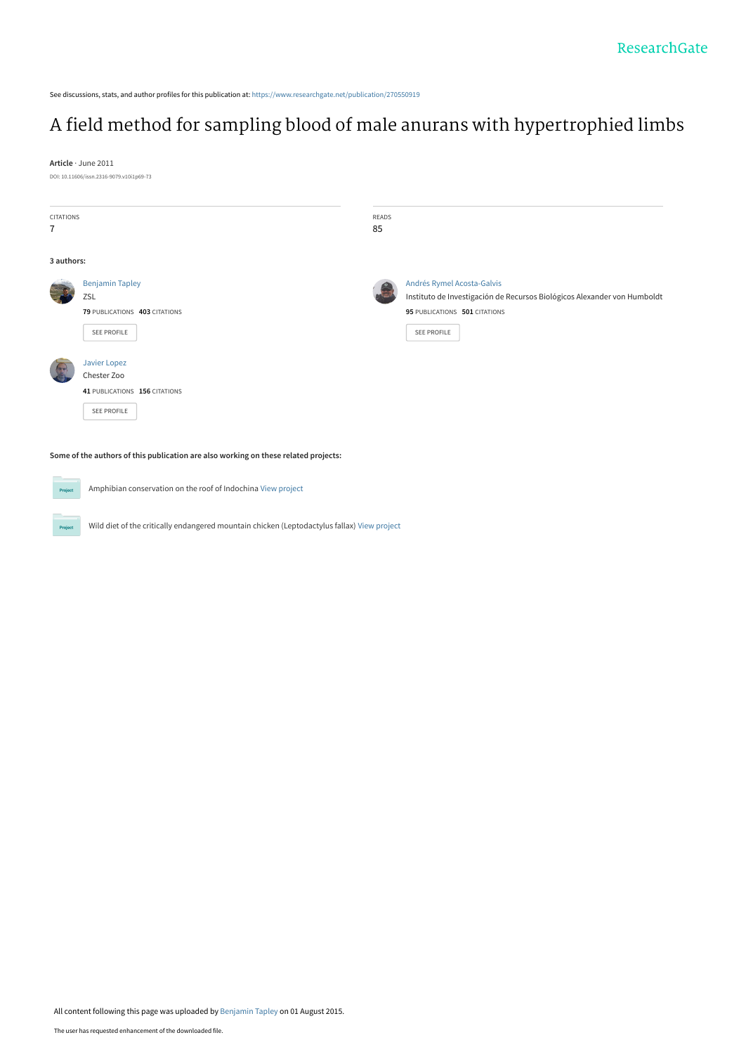See discussions, stats, and author profiles for this publication at: [https://www.researchgate.net/publication/270550919](https://www.researchgate.net/publication/270550919_A_field_method_for_sampling_blood_of_male_anurans_with_hypertrophied_limbs?enrichId=rgreq-35476522f65913b52953dbd26644c61b-XXX&enrichSource=Y292ZXJQYWdlOzI3MDU1MDkxOTtBUzoyNTc1NTI5OTA2MDEyMTZAMTQzODQxNjgyNjE0Nw%3D%3D&el=1_x_2&_esc=publicationCoverPdf)

# [A field method for sampling blood of male anurans with hypertrophied limbs](https://www.researchgate.net/publication/270550919_A_field_method_for_sampling_blood_of_male_anurans_with_hypertrophied_limbs?enrichId=rgreq-35476522f65913b52953dbd26644c61b-XXX&enrichSource=Y292ZXJQYWdlOzI3MDU1MDkxOTtBUzoyNTc1NTI5OTA2MDEyMTZAMTQzODQxNjgyNjE0Nw%3D%3D&el=1_x_3&_esc=publicationCoverPdf)

**Article** · June 2011

DOI: 10.11606/issn.2316-9079.v10i1p69-73

| CITATIONS      |                               | READS |                                                                          |
|----------------|-------------------------------|-------|--------------------------------------------------------------------------|
| $\overline{7}$ |                               | 85    |                                                                          |
|                |                               |       |                                                                          |
| 3 authors:     |                               |       |                                                                          |
|                | <b>Benjamin Tapley</b>        |       | Andrés Rymel Acosta-Galvis                                               |
|                | ZSL                           |       | Instituto de Investigación de Recursos Biológicos Alexander von Humboldt |
|                | 79 PUBLICATIONS 403 CITATIONS |       | 95 PUBLICATIONS 501 CITATIONS                                            |
|                | SEE PROFILE                   |       | SEE PROFILE                                                              |
|                |                               |       |                                                                          |
|                | Javier Lopez                  |       |                                                                          |
|                | Chester Zoo                   |       |                                                                          |
|                | 41 PUBLICATIONS 156 CITATIONS |       |                                                                          |
|                | SEE PROFILE                   |       |                                                                          |
|                |                               |       |                                                                          |

**Some of the authors of this publication are also working on these related projects:**

Project .<br>Proj

Amphibian conservation on the roof of Indochina [View project](https://www.researchgate.net/project/Amphibian-conservation-on-the-roof-of-Indochina?enrichId=rgreq-35476522f65913b52953dbd26644c61b-XXX&enrichSource=Y292ZXJQYWdlOzI3MDU1MDkxOTtBUzoyNTc1NTI5OTA2MDEyMTZAMTQzODQxNjgyNjE0Nw%3D%3D&el=1_x_9&_esc=publicationCoverPdf)

Wild diet of the critically endangered mountain chicken (Leptodactylus fallax) [View project](https://www.researchgate.net/project/Wild-diet-of-the-critically-endangered-mountain-chicken-Leptodactylus-fallax?enrichId=rgreq-35476522f65913b52953dbd26644c61b-XXX&enrichSource=Y292ZXJQYWdlOzI3MDU1MDkxOTtBUzoyNTc1NTI5OTA2MDEyMTZAMTQzODQxNjgyNjE0Nw%3D%3D&el=1_x_9&_esc=publicationCoverPdf)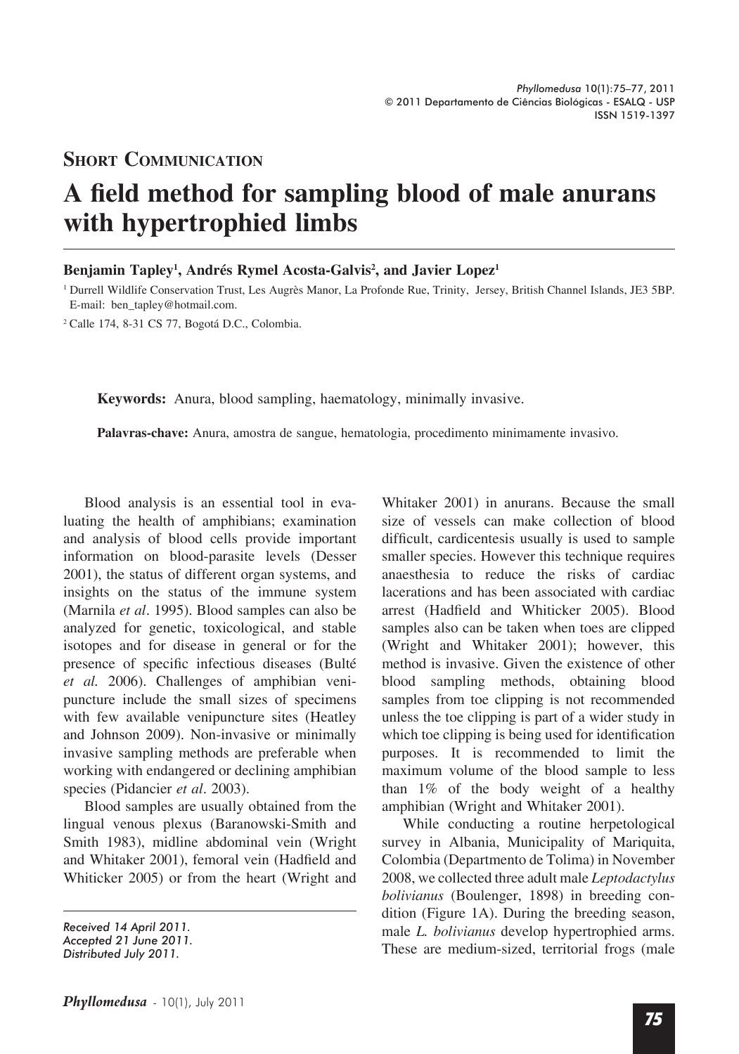### **Short Communication**

# **A field method for sampling blood of male anurans with hypertrophied limbs**

#### Benjamin Tapley<sup>1</sup>, Andrés Rymel Acosta-Galvis<sup>2</sup>, and Javier Lopez<sup>1</sup>

<sup>1</sup> Durrell Wildlife Conservation Trust, Les Augrès Manor, La Profonde Rue, Trinity, Jersey, British Channel Islands, JE3 5BP. E-mail: ben\_tapley@hotmail.com.

<sup>2</sup> Calle 174, 8-31 CS 77, Bogotá D.C., Colombia.

**Keywords:** Anura, blood sampling, haematology, minimally invasive.

**Palavras-chave:** Anura, amostra de sangue, hematologia, procedimento minimamente invasivo.

Blood analysis is an essential tool in evaluating the health of amphibians; examination and analysis of blood cells provide important information on blood-parasite levels (Desser 2001), the status of different organ systems, and insights on the status of the immune system (Marnila *et al*. 1995). Blood samples can also be analyzed for genetic, toxicological, and stable isotopes and for disease in general or for the presence of specific infectious diseases (Bulté *et al.* 2006). Challenges of amphibian venipuncture include the small sizes of specimens with few available venipuncture sites (Heatley and Johnson 2009). Non-invasive or minimally invasive sampling methods are preferable when working with endangered or declining amphibian species (Pidancier *et al*. 2003).

Blood samples are usually obtained from the lingual venous plexus (Baranowski-Smith and Smith 1983), midline abdominal vein (Wright and Whitaker 2001), femoral vein (Hadfield and Whiticker 2005) or from the heart (Wright and

Whitaker 2001) in anurans. Because the small size of vessels can make collection of blood difficult, cardicentesis usually is used to sample smaller species. However this technique requires anaesthesia to reduce the risks of cardiac lacerations and has been associated with cardiac arrest (Hadfield and Whiticker 2005). Blood samples also can be taken when toes are clipped (Wright and Whitaker 2001); however, this method is invasive. Given the existence of other blood sampling methods, obtaining blood samples from toe clipping is not recommended unless the toe clipping is part of a wider study in which toe clipping is being used for identification purposes. It is recommended to limit the maximum volume of the blood sample to less than 1% of the body weight of a healthy amphibian (Wright and Whitaker 2001).

While conducting a routine herpetological survey in Albania, Municipality of Mariquita, Colombia (Departmento de Tolima) in November 2008, we collected three adult male *Leptodactylus bolivianus* (Boulenger, 1898) in breeding condition (Figure 1A). During the breeding season, male *L. bolivianus* develop hypertrophied arms. These are medium-sized, territorial frogs (male

*Received 14 April 2011.*

*Accepted 21 June 2011.*

*Distributed July 2011.*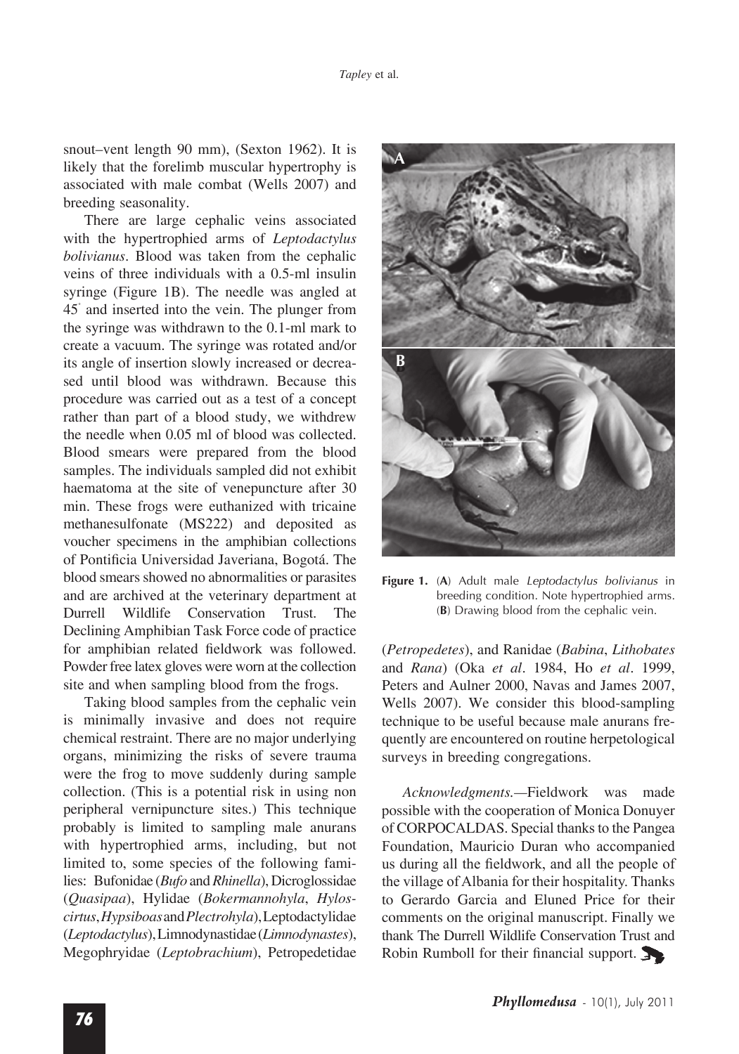snout–vent length 90 mm), (Sexton 1962). It is likely that the forelimb muscular hypertrophy is associated with male combat (Wells 2007) and breeding seasonality.

There are large cephalic veins associated with the hypertrophied arms of *Leptodactylus bolivianus*. Blood was taken from the cephalic veins of three individuals with a 0.5‑ml insulin syringe (Figure 1B). The needle was angled at 45˚ and inserted into the vein. The plunger from the syringe was withdrawn to the 0.1‑ml mark to create a vacuum. The syringe was rotated and/or its angle of insertion slowly increased or decreased until blood was withdrawn. Because this procedure was carried out as a test of a concept rather than part of a blood study, we withdrew the needle when 0.05 ml of blood was collected. Blood smears were prepared from the blood samples. The individuals sampled did not exhibit haematoma at the site of venepuncture after 30 min. These frogs were euthanized with tricaine methanesulfonate (MS222) and deposited as voucher specimens in the amphibian collections of Pontificia Universidad Javeriana, Bogotá. The blood smears showed no abnormalities or parasites and are archived at the veterinary department at Durrell Wildlife Conservation Trust. The Declining Amphibian Task Force code of practice for amphibian related fieldwork was followed. Powder free latex gloves were worn at the collection site and when sampling blood from the frogs.

Taking blood samples from the cephalic vein is minimally invasive and does not require chemical restraint. There are no major underlying organs, minimizing the risks of severe trauma were the frog to move suddenly during sample collection. (This is a potential risk in using non peripheral vernipuncture sites.) This technique probably is limited to sampling male anurans with hypertrophied arms, including, but not limited to, some species of the following families: Bufonidae (*Bufo* and *Rhinella*), Dicroglossidae (*Quasipaa*), Hylidae (*Bokermannohyla*, *Hyloscirtus*, *Hypsiboas* and *Plectrohyla*), Leptodactylidae (*Leptodactylus*), Limnodynastidae (*Limnodynastes*), Megophryidae (*Leptobrachium*), Petropedetidae



**Figure 1.** (**A**) Adult male *Leptodactylus bolivianus* in breeding condition. Note hypertrophied arms. (**B**) Drawing blood from the cephalic vein.

(*Petropedetes*), and Ranidae (*Babina*, *Lithobates* and *Rana*) (Oka *et al*. 1984, Ho *et al*. 1999, Peters and Aulner 2000, Navas and James 2007, Wells 2007). We consider this blood-sampling technique to be useful because male anurans frequently are encountered on routine herpetological surveys in breeding congregations.

*Acknowledgments.—*Fieldwork was made possible with the cooperation of Monica Donuyer of CORPOCALDAS. Special thanks to the Pangea Foundation, Mauricio Duran who accompanied us during all the fieldwork, and all the people of the village of Albania for their hospitality. Thanks to Gerardo Garcia and Eluned Price for their comments on the original manuscript. Finally we thank The Durrell Wildlife Conservation Trust and Robin Rumboll for their financial support.